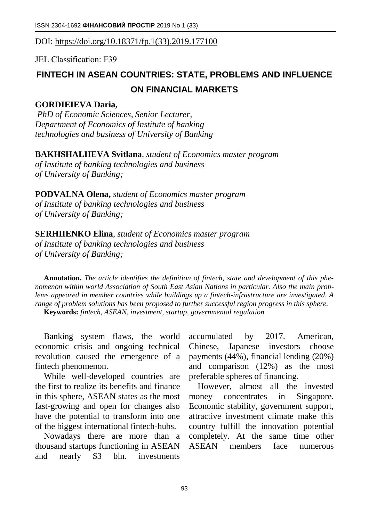DOI: [https://doi.org/10.18371/fp.1\(33\).2019.177100](https://doi.org/10.18371/fp.1(33).2019.177100)

JEL Classіfіcatіon: F39

## **FINTECH IN ASEAN COUNTRIES: STATE, PROBLEMS AND INFLUENCE ON FINANCIAL MARKETS**

## **GORDIEIEVA Daria,**

*PhD of Economic Sciences, Senior Lecturer, Department of Economics of Institute of banking technologies and business of University of Banking* 

**BAKHSHALIIEVA Svitlana**, *student of Economics master program of Institute of banking technologies and business of University of Banking;*

**PODVALNA Olena,** *student of Economics master program of Institute of banking technologies and business of University of Banking;*

**SERHIIENKO Elina**, *student of Economics master program of Institute of banking technologies and business of University of Banking;*

**Annotation.** *The article identifies the definition of fintech, state and development of this phenomenon within world Association of South East Asian Nations in particular. Also the main problems appeared in member countries while buildings up a fintech-infrastructure are investigated. A range of problem solutions has been proposed to further successful region progress in this sphere.* **Keywords:** *fintech, ASEAN, investment, startup, governmental regulation*

Banking system flaws, the world economic crisis and ongoing technical revolution caused the emergence of a fintech phenomenon.

While well-developed countries are the first to realize its benefits and finance in this sphere, ASEAN states as the most fast-growing and open for changes also have the potential to transform into one of the biggest international fintech-hubs.

Nowadays there are more than a thousand startups functioning in ASEAN and nearly \$3 bln. investments

accumulated by 2017. American, Chinese, Japanese investors choose payments (44%), financial lending (20%) and comparison (12%) as the most preferable spheres of financing.

However, almost all the invested money concentrates in Singapore. Economic stability, government support, attractive investment climate make this country fulfill the innovation potential completely. At the same time other ASEAN members face numerous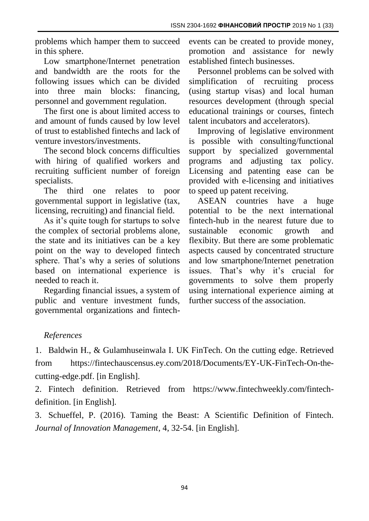problems which hamper them to succeed in this sphere.

Low smartphone/Internet penetration and bandwidth are the roots for the following issues which can be divided into three main blocks: financing, personnel and government regulation.

The first one is about limited access to and amount of funds caused by low level of trust to established fintechs and lack of venture investors/investments.

The second block concerns difficulties with hiring of qualified workers and recruiting sufficient number of foreign specialists.

The third one relates to poor governmental support in legislative (tax, licensing, recruiting) and financial field.

As it's quite tough for startups to solve the complex of sectorial problems alone, the state and its initiatives can be a key point on the way to developed fintech sphere. That's why a series of solutions based on international experience is needed to reach it.

Regarding financial issues, a system of public and venture investment funds, governmental organizations and fintechevents can be created to provide money, promotion and assistance for newly established fintech businesses.

Personnel problems can be solved with simplification of recruiting process (using startup visas) and local human resources development (through special educational trainings or courses, fintech talent incubators and accelerators).

Improving of legislative environment is possible with consulting/functional support by specialized governmental programs and adjusting tax policy. Licensing and patenting ease can be provided with e-licensing and initiatives to speed up patent receiving.

ASEAN countries have a huge potential to be the next international fintech-hub in the nearest future due to sustainable economic growth and flexibity. But there are some problematic aspects caused by concentrated structure and low smartphone/Internet penetration issues. That's why it's crucial for governments to solve them properly using international experience aiming at further success of the association.

## *References*

1. Baldwin H., & Gulamhuseinwala I. UK FinTech. On the cutting edge. Retrieved from https://fintechauscensus.ey.com/2018/Documents/EY-UK-FinTech-On-thecutting-edge.pdf. [in English].

2. Fintech definition. Retrieved from https://www.fintechweekly.com/fintechdefinition. [in English].

3. Schueffel, P. (2016). Taming the Beast: A Scientific Definition of Fintech. *Journal of Innovation Management*, 4, 32-54. [in English].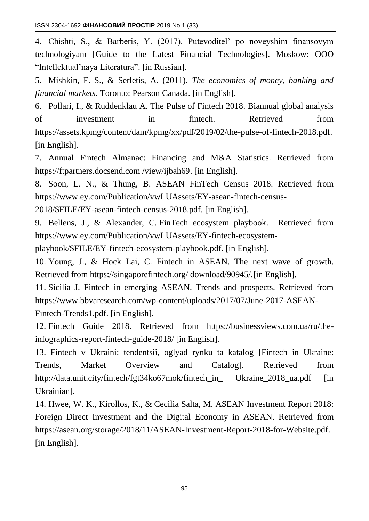4. Chishti, S., & Barberis, Y. (2017). Putevoditel' po noveyshim finansovym technologiyam [Guide to the Latest Financial Technologies]. Moskow: OOO "Intellektual'naya Literatura". [in Russian].

5. Mishkin, F. S., & Serletis, A. (2011). *The economics of money, banking and financial markets.* Toronto: Pearson Canada. [in English].

6. Pollari, I., & Ruddenklau A. The Pulse of Fintech 2018. Biannual global analysis of investment in fintech. Retrieved from https://assets.kpmg/content/dam/kpmg/xx/pdf/2019/02/the-pulse-of-fintech-2018.pdf. [in English].

7. Annual Fintech Almanac: Financing and M&A Statistics. Retrieved from https://ftpartners.docsend.com /view/ijbah69. [in English].

8. Soon, L. N., & Thung, B. ASEAN FinTech Census 2018. Retrieved from https://www.ey.com/Publication/vwLUAssets/EY-asean-fintech-census-

2018/\$FILE/EY-asean-fintech-census-2018.pdf. [in English].

9. Bellens, J., & Alexander, C. FinTech ecosystem playbook. Retrieved from https://www.ey.com/Publication/vwLUAssets/EY-fintech-ecosystem-

playbook/\$FILE/EY-fintech-ecosystem-playbook.pdf. [in English].

10. Young, J., & Hock Lai, C. Fintech in ASEAN. The next wave of growth. Retrieved from https://singaporefintech.org/ download/90945/.[in English].

11. Sicilia J. Fintech in emerging ASEAN. Trends and prospects. Retrieved from https://www.bbvaresearch.com/wp-content/uploads/2017/07/June-2017-ASEAN-Fintech-Trends1.pdf. [in English].

12. Fintech Guide 2018. Retrieved from https://businessviews.com.ua/ru/theinfographics-report-fintech-guide-2018/ [in English].

13. Fintech v Ukraini: tendentsii, oglyad rynku ta katalog [Fintech in Ukraine: Trends, Market Overview and Catalog]. Retrieved from http://data.unit.city/fintech/fgt34ko67mok/fintech\_in\_ Ukraine\_2018\_ua.pdf [in Ukrainian].

14. Hwee, W. K., Kirollos, K., & Cecilia Salta, M. ASEAN Investment Report 2018: Foreign Direct Investment and the Digital Economy in ASEAN. Retrieved from https://asean.org/storage/2018/11/ASEAN-Investment-Report-2018-for-Website.pdf. [in English].